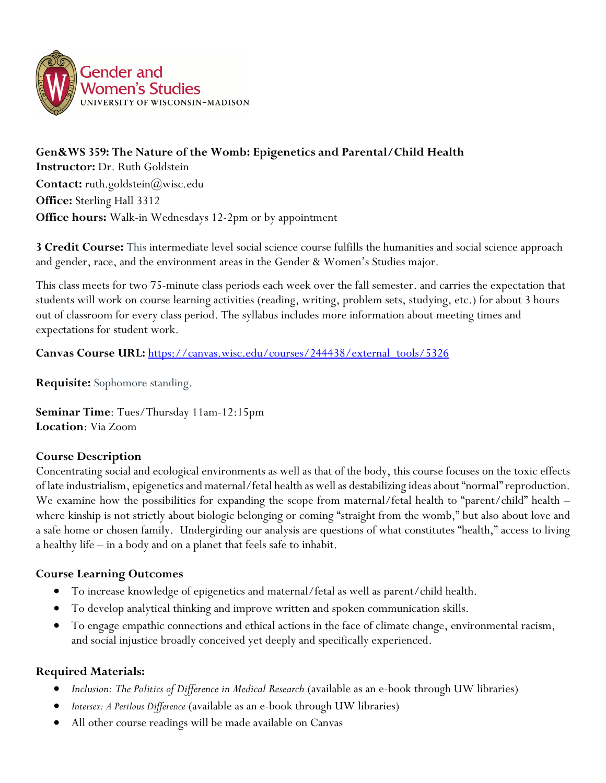

**Gen&WS 359: The Nature of the Womb: Epigenetics and Parental/Child Health Instructor:** Dr. Ruth Goldstein **Contact:** ruth.goldstein(*a*)wisc.edu **Office:** Sterling Hall 3312 **Office hours:** Walk-in Wednesdays 12-2pm or by appointment

**3 Credit Course:** This intermediate level social science course fulfills the humanities and social science approach and gender, race, and the environment areas in the Gender & Women's Studies major.

This class meets for two 75-minute class periods each week over the fall semester. and carries the expectation that students will work on course learning activities (reading, writing, problem sets, studying, etc.) for about 3 hours out of classroom for every class period. The syllabus includes more information about meeting times and expectations for student work.

**Canvas Course URL:** https://canvas.wisc.edu/courses/244438/external\_tools/5326

**Requisite:** Sophomore standing.

**Seminar Time**: Tues/Thursday 11am-12:15pm **Location**: Via Zoom

# **Course Description**

Concentrating social and ecological environments as well as that of the body, this course focuses on the toxic effects of late industrialism, epigenetics and maternal/fetal health as well as destabilizing ideas about "normal" reproduction. We examine how the possibilities for expanding the scope from maternal/fetal health to "parent/child" health – where kinship is not strictly about biologic belonging or coming "straight from the womb," but also about love and a safe home or chosen family. Undergirding our analysis are questions of what constitutes "health," access to living a healthy life – in a body and on a planet that feels safe to inhabit.

# **Course Learning Outcomes**

- To increase knowledge of epigenetics and maternal/fetal as well as parent/child health.
- To develop analytical thinking and improve written and spoken communication skills.
- To engage empathic connections and ethical actions in the face of climate change, environmental racism, and social injustice broadly conceived yet deeply and specifically experienced.

# **Required Materials:**

- *Inclusion: The Politics of Difference in Medical Research* (available as an e-book through UW libraries)
- *Intersex: A Perilous Difference* (available as an e-book through UW libraries)
- All other course readings will be made available on Canvas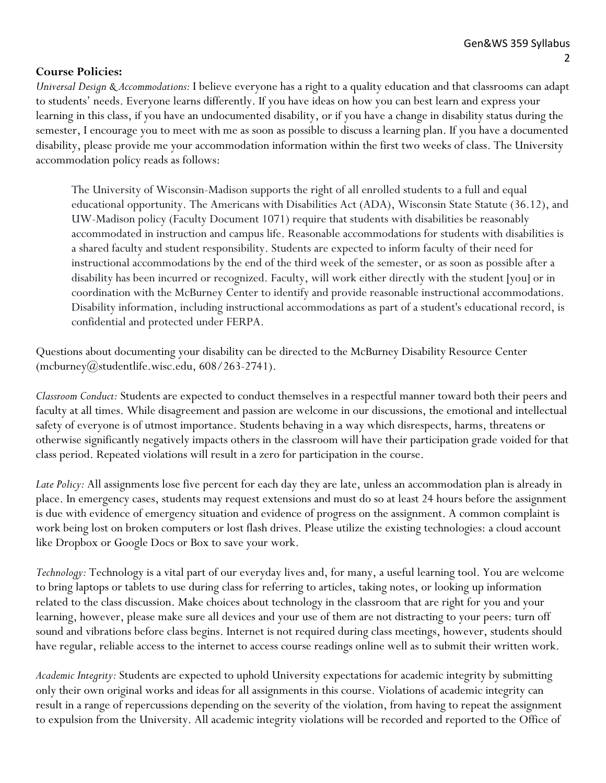### **Course Policies:**

*Universal Design & Accommodations:* I believe everyone has a right to a quality education and that classrooms can adapt to students' needs. Everyone learns differently. If you have ideas on how you can best learn and express your learning in this class, if you have an undocumented disability, or if you have a change in disability status during the semester, I encourage you to meet with me as soon as possible to discuss a learning plan. If you have a documented disability, please provide me your accommodation information within the first two weeks of class. The University accommodation policy reads as follows:

The University of Wisconsin-Madison supports the right of all enrolled students to a full and equal educational opportunity. The Americans with Disabilities Act (ADA), Wisconsin State Statute (36.12), and UW-Madison policy (Faculty Document 1071) require that students with disabilities be reasonably accommodated in instruction and campus life. Reasonable accommodations for students with disabilities is a shared faculty and student responsibility. Students are expected to inform faculty of their need for instructional accommodations by the end of the third week of the semester, or as soon as possible after a disability has been incurred or recognized. Faculty, will work either directly with the student [you] or in coordination with the McBurney Center to identify and provide reasonable instructional accommodations. Disability information, including instructional accommodations as part of a student's educational record, is confidential and protected under FERPA.

Questions about documenting your disability can be directed to the McBurney Disability Resource Center  $(mcburney@studentlife.wisc.edu, 608/263-2741).$ 

*Classroom Conduct:* Students are expected to conduct themselves in a respectful manner toward both their peers and faculty at all times. While disagreement and passion are welcome in our discussions, the emotional and intellectual safety of everyone is of utmost importance. Students behaving in a way which disrespects, harms, threatens or otherwise significantly negatively impacts others in the classroom will have their participation grade voided for that class period. Repeated violations will result in a zero for participation in the course.

*Late Policy:* All assignments lose five percent for each day they are late, unless an accommodation plan is already in place. In emergency cases, students may request extensions and must do so at least 24 hours before the assignment is due with evidence of emergency situation and evidence of progress on the assignment. A common complaint is work being lost on broken computers or lost flash drives. Please utilize the existing technologies: a cloud account like Dropbox or Google Docs or Box to save your work.

*Technology:* Technology is a vital part of our everyday lives and, for many, a useful learning tool. You are welcome to bring laptops or tablets to use during class for referring to articles, taking notes, or looking up information related to the class discussion. Make choices about technology in the classroom that are right for you and your learning, however, please make sure all devices and your use of them are not distracting to your peers: turn off sound and vibrations before class begins. Internet is not required during class meetings, however, students should have regular, reliable access to the internet to access course readings online well as to submit their written work.

*Academic Integrity:* Students are expected to uphold University expectations for academic integrity by submitting only their own original works and ideas for all assignments in this course. Violations of academic integrity can result in a range of repercussions depending on the severity of the violation, from having to repeat the assignment to expulsion from the University. All academic integrity violations will be recorded and reported to the Office of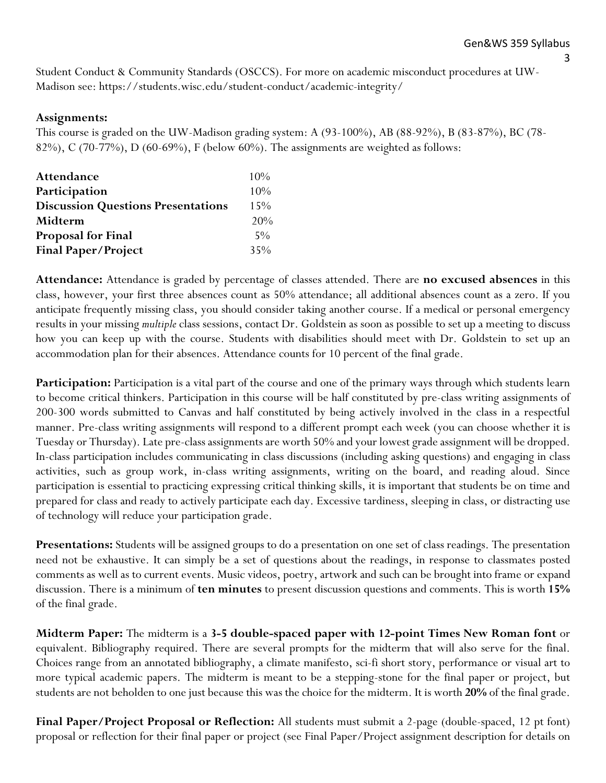3

Student Conduct & Community Standards (OSCCS). For more on academic misconduct procedures at UW-Madison see: https://students.wisc.edu/student-conduct/academic-integrity/

### **Assignments:**

This course is graded on the UW-Madison grading system: A (93-100%), AB (88-92%), B (83-87%), BC (78- 82%), C (70-77%), D (60-69%), F (below 60%). The assignments are weighted as follows:

| Attendance                                | $10\%$ |
|-------------------------------------------|--------|
| Participation                             | 10%    |
| <b>Discussion Questions Presentations</b> | 15%    |
| Midterm                                   | 20%    |
| <b>Proposal for Final</b>                 | $5\%$  |
| <b>Final Paper/Project</b>                | 35%    |

**Attendance:** Attendance is graded by percentage of classes attended. There are **no excused absences** in this class, however, your first three absences count as 50% attendance; all additional absences count as a zero. If you anticipate frequently missing class, you should consider taking another course. If a medical or personal emergency results in your missing *multiple* class sessions, contact Dr. Goldstein as soon as possible to set up a meeting to discuss how you can keep up with the course. Students with disabilities should meet with Dr. Goldstein to set up an accommodation plan for their absences. Attendance counts for 10 percent of the final grade.

**Participation:** Participation is a vital part of the course and one of the primary ways through which students learn to become critical thinkers. Participation in this course will be half constituted by pre-class writing assignments of 200-300 words submitted to Canvas and half constituted by being actively involved in the class in a respectful manner. Pre-class writing assignments will respond to a different prompt each week (you can choose whether it is Tuesday or Thursday). Late pre-class assignments are worth 50% and your lowest grade assignment will be dropped. In-class participation includes communicating in class discussions (including asking questions) and engaging in class activities, such as group work, in-class writing assignments, writing on the board, and reading aloud. Since participation is essential to practicing expressing critical thinking skills, it is important that students be on time and prepared for class and ready to actively participate each day. Excessive tardiness, sleeping in class, or distracting use of technology will reduce your participation grade.

**Presentations:** Students will be assigned groups to do a presentation on one set of class readings. The presentation need not be exhaustive. It can simply be a set of questions about the readings, in response to classmates posted comments as well as to current events. Music videos, poetry, artwork and such can be brought into frame or expand discussion. There is a minimum of **ten minutes** to present discussion questions and comments. This is worth **15%** of the final grade.

**Midterm Paper:** The midterm is a **3-5 double-spaced paper with 12-point Times New Roman font** or equivalent. Bibliography required. There are several prompts for the midterm that will also serve for the final. Choices range from an annotated bibliography, a climate manifesto, sci-fi short story, performance or visual art to more typical academic papers. The midterm is meant to be a stepping-stone for the final paper or project, but students are not beholden to one just because this was the choice for the midterm. It is worth **20%** of the final grade.

**Final Paper/Project Proposal or Reflection:** All students must submit a 2-page (double-spaced, 12 pt font) proposal or reflection for their final paper or project (see Final Paper/Project assignment description for details on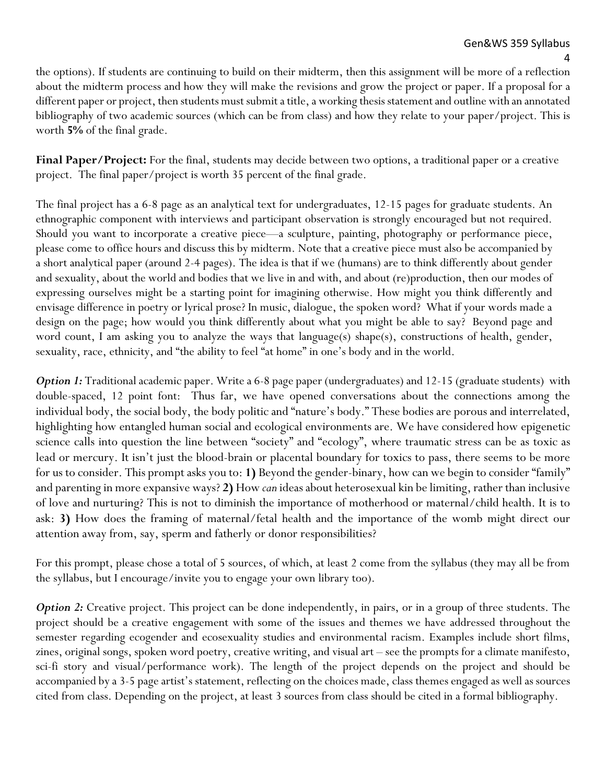4 the options). If students are continuing to build on their midterm, then this assignment will be more of a reflection about the midterm process and how they will make the revisions and grow the project or paper. If a proposal for a different paper or project, then students must submit a title, a working thesis statement and outline with an annotated bibliography of two academic sources (which can be from class) and how they relate to your paper/project. This is worth **5%** of the final grade.

**Final Paper/Project:** For the final, students may decide between two options, a traditional paper or a creative project. The final paper/project is worth 35 percent of the final grade.

The final project has a 6-8 page as an analytical text for undergraduates, 12-15 pages for graduate students. An ethnographic component with interviews and participant observation is strongly encouraged but not required. Should you want to incorporate a creative piece—a sculpture, painting, photography or performance piece, please come to office hours and discuss this by midterm. Note that a creative piece must also be accompanied by a short analytical paper (around 2-4 pages). The idea is that if we (humans) are to think differently about gender and sexuality, about the world and bodies that we live in and with, and about (re)production, then our modes of expressing ourselves might be a starting point for imagining otherwise. How might you think differently and envisage difference in poetry or lyrical prose? In music, dialogue, the spoken word? What if your words made a design on the page; how would you think differently about what you might be able to say? Beyond page and word count, I am asking you to analyze the ways that language(s) shape(s), constructions of health, gender, sexuality, race, ethnicity, and "the ability to feel "at home" in one's body and in the world.

*Option 1:* Traditional academic paper. Write a 6-8 page paper (undergraduates) and 12-15 (graduate students) with double-spaced, 12 point font: Thus far, we have opened conversations about the connections among the individual body, the social body, the body politic and "nature's body." These bodies are porous and interrelated, highlighting how entangled human social and ecological environments are. We have considered how epigenetic science calls into question the line between "society" and "ecology", where traumatic stress can be as toxic as lead or mercury. It isn't just the blood-brain or placental boundary for toxics to pass, there seems to be more for us to consider. This prompt asks you to: **1)** Beyond the gender-binary, how can we begin to consider "family" and parenting in more expansive ways? **2)** How *can* ideas about heterosexual kin be limiting, rather than inclusive of love and nurturing? This is not to diminish the importance of motherhood or maternal/child health. It is to ask: **3)** How does the framing of maternal/fetal health and the importance of the womb might direct our attention away from, say, sperm and fatherly or donor responsibilities?

For this prompt, please chose a total of 5 sources, of which, at least 2 come from the syllabus (they may all be from the syllabus, but I encourage/invite you to engage your own library too).

*Option 2:* Creative project. This project can be done independently, in pairs, or in a group of three students. The project should be a creative engagement with some of the issues and themes we have addressed throughout the semester regarding ecogender and ecosexuality studies and environmental racism. Examples include short films, zines, original songs, spoken word poetry, creative writing, and visual art – see the prompts for a climate manifesto, sci-fi story and visual/performance work). The length of the project depends on the project and should be accompanied by a 3-5 page artist's statement, reflecting on the choices made, class themes engaged as well as sources cited from class. Depending on the project, at least 3 sources from class should be cited in a formal bibliography.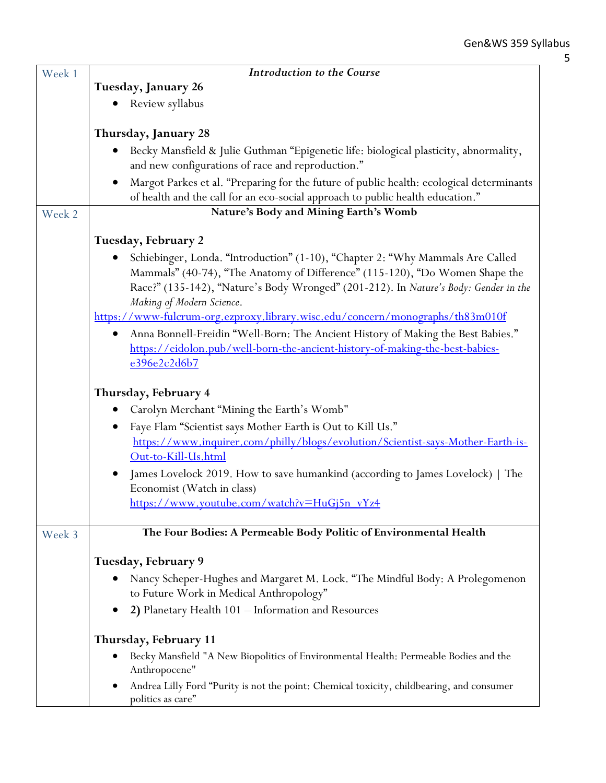| Week 1 | Introduction to the Course                                                                                                                                                                                                                                                          |
|--------|-------------------------------------------------------------------------------------------------------------------------------------------------------------------------------------------------------------------------------------------------------------------------------------|
|        | Tuesday, January 26                                                                                                                                                                                                                                                                 |
|        | Review syllabus                                                                                                                                                                                                                                                                     |
|        |                                                                                                                                                                                                                                                                                     |
|        | Thursday, January 28                                                                                                                                                                                                                                                                |
|        | Becky Mansfield & Julie Guthman "Epigenetic life: biological plasticity, abnormality,                                                                                                                                                                                               |
|        | and new configurations of race and reproduction."                                                                                                                                                                                                                                   |
|        | Margot Parkes et al. "Preparing for the future of public health: ecological determinants<br>of health and the call for an eco-social approach to public health education."                                                                                                          |
| Week 2 | Nature's Body and Mining Earth's Womb                                                                                                                                                                                                                                               |
|        |                                                                                                                                                                                                                                                                                     |
|        | Tuesday, February 2                                                                                                                                                                                                                                                                 |
|        | Schiebinger, Londa. "Introduction" (1-10), "Chapter 2: "Why Mammals Are Called<br>Mammals" (40-74), "The Anatomy of Difference" (115-120), "Do Women Shape the<br>Race?" (135-142), "Nature's Body Wronged" (201-212). In Nature's Body: Gender in the<br>Making of Modern Science. |
|        | https://www-fulcrum-org.ezproxy.library.wisc.edu/concern/monographs/th83m010f                                                                                                                                                                                                       |
|        | Anna Bonnell-Freidin "Well-Born: The Ancient History of Making the Best Babies."<br>https://eidolon.pub/well-born-the-ancient-history-of-making-the-best-babies-<br>e396e2c2d6b7                                                                                                    |
|        | Thursday, February 4                                                                                                                                                                                                                                                                |
|        | Carolyn Merchant "Mining the Earth's Womb"                                                                                                                                                                                                                                          |
|        | Faye Flam "Scientist says Mother Earth is Out to Kill Us."                                                                                                                                                                                                                          |
|        | https://www.inquirer.com/philly/blogs/evolution/Scientist-says-Mother-Earth-is-<br>Out-to-Kill-Us.html                                                                                                                                                                              |
|        | James Lovelock 2019. How to save humankind (according to James Lovelock)   The<br>Economist (Watch in class)                                                                                                                                                                        |
|        | https://www.youtube.com/watch?v=HuGj5n_vYz4                                                                                                                                                                                                                                         |
|        |                                                                                                                                                                                                                                                                                     |
| Week 3 | The Four Bodies: A Permeable Body Politic of Environmental Health                                                                                                                                                                                                                   |
|        | Tuesday, February 9                                                                                                                                                                                                                                                                 |
|        | Nancy Scheper-Hughes and Margaret M. Lock. "The Mindful Body: A Prolegomenon                                                                                                                                                                                                        |
|        | to Future Work in Medical Anthropology"                                                                                                                                                                                                                                             |
|        | 2) Planetary Health 101 - Information and Resources                                                                                                                                                                                                                                 |
|        | Thursday, February 11                                                                                                                                                                                                                                                               |
|        | Becky Mansfield "A New Biopolitics of Environmental Health: Permeable Bodies and the<br>Anthropocene"                                                                                                                                                                               |
|        | Andrea Lilly Ford "Purity is not the point: Chemical toxicity, childbearing, and consumer<br>politics as care"                                                                                                                                                                      |

5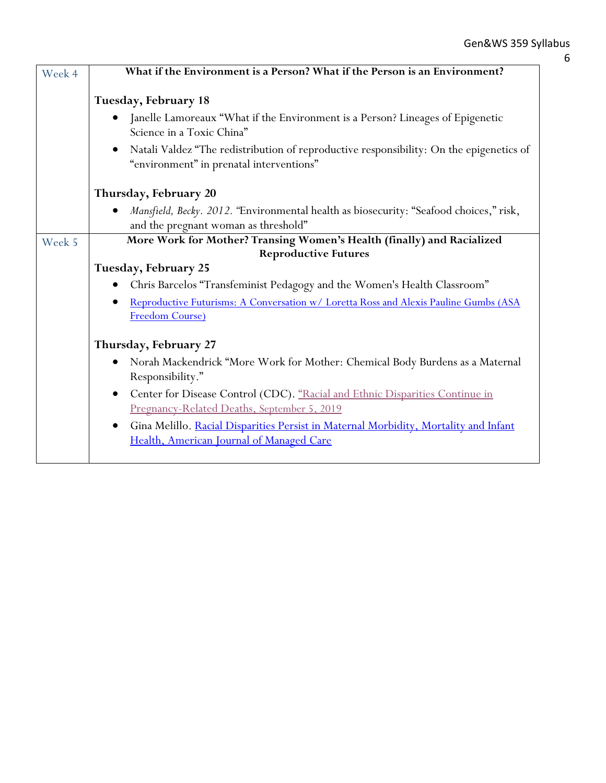| Week 4 | What if the Environment is a Person? What if the Person is an Environment?                                                                    |
|--------|-----------------------------------------------------------------------------------------------------------------------------------------------|
|        | Tuesday, February 18                                                                                                                          |
|        | Janelle Lamoreaux "What if the Environment is a Person? Lineages of Epigenetic<br>Science in a Toxic China"                                   |
|        | Natali Valdez "The redistribution of reproductive responsibility: On the epigenetics of<br>"environment" in prenatal interventions"           |
|        | Thursday, February 20                                                                                                                         |
|        | Mansfield, Becky. 2012. "Environmental health as biosecurity: "Seafood choices," risk,<br>and the pregnant woman as threshold"                |
| Week 5 | More Work for Mother? Transing Women's Health (finally) and Racialized                                                                        |
|        | <b>Reproductive Futures</b><br>Tuesday, February 25                                                                                           |
|        | Chris Barcelos "Transfeminist Pedagogy and the Women's Health Classroom"                                                                      |
|        | Reproductive Futurisms: A Conversation w/ Loretta Ross and Alexis Pauline Gumbs (ASA<br>Freedom Course)                                       |
|        | Thursday, February 27                                                                                                                         |
|        | Norah Mackendrick "More Work for Mother: Chemical Body Burdens as a Maternal<br>Responsibility."                                              |
|        | Center for Disease Control (CDC). "Racial and Ethnic Disparities Continue in<br>$\bullet$<br>Pregnancy-Related Deaths, September 5, 2019      |
|        | Gina Melillo. Racial Disparities Persist in Maternal Morbidity, Mortality and Infant<br>$\bullet$<br>Health, American Journal of Managed Care |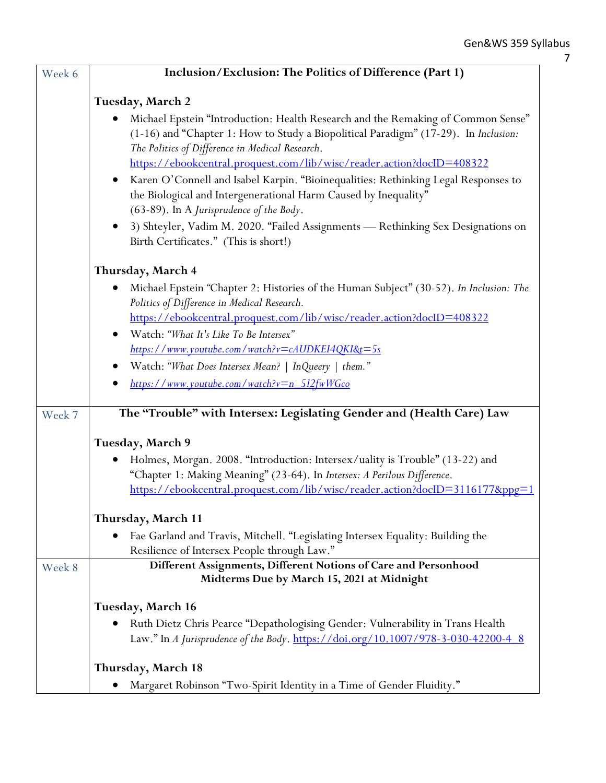| Week 6 | Inclusion/Exclusion: The Politics of Difference (Part 1)                                                                                                                |
|--------|-------------------------------------------------------------------------------------------------------------------------------------------------------------------------|
|        |                                                                                                                                                                         |
|        | Tuesday, March 2                                                                                                                                                        |
|        | Michael Epstein "Introduction: Health Research and the Remaking of Common Sense"<br>(1-16) and "Chapter 1: How to Study a Biopolitical Paradigm" (17-29). In Inclusion: |
|        | The Politics of Difference in Medical Research.                                                                                                                         |
|        | https://ebookcentral.proquest.com/lib/wisc/reader.action?docID=408322                                                                                                   |
|        | Karen O'Connell and Isabel Karpin. "Bioinequalities: Rethinking Legal Responses to                                                                                      |
|        | the Biological and Intergenerational Harm Caused by Inequality"                                                                                                         |
|        | (63-89). In A Jurisprudence of the Body.                                                                                                                                |
|        | 3) Shteyler, Vadim M. 2020. "Failed Assignments - Rethinking Sex Designations on                                                                                        |
|        | Birth Certificates." (This is short!)                                                                                                                                   |
|        | Thursday, March 4                                                                                                                                                       |
|        | Michael Epstein "Chapter 2: Histories of the Human Subject" (30-52). In Inclusion: The<br>$\bullet$                                                                     |
|        | Politics of Difference in Medical Research.                                                                                                                             |
|        | https://ebookcentral.proquest.com/lib/wisc/reader.action?docID=408322                                                                                                   |
|        | Watch: "What It's Like To Be Intersex"<br>$\bullet$                                                                                                                     |
|        | https://www.youtube.com/watch?v=cAUDKEI4QKI&t=5s                                                                                                                        |
|        | Watch: "What Does Intersex Mean?   InQueery   them."                                                                                                                    |
|        | https://www.youtube.com/watch?v=n_512fwWGco                                                                                                                             |
| Week 7 | The "Trouble" with Intersex: Legislating Gender and (Health Care) Law                                                                                                   |
|        |                                                                                                                                                                         |
|        | Tuesday, March 9                                                                                                                                                        |
|        | Holmes, Morgan. 2008. "Introduction: Intersex/uality is Trouble" (13-22) and                                                                                            |
|        | "Chapter 1: Making Meaning" (23-64). In Intersex: A Perilous Difference.                                                                                                |
|        | https://ebookcentral.proquest.com/lib/wisc/reader.action?docID=3116177&ppg=                                                                                             |
|        | Thursday, March 11                                                                                                                                                      |
|        | Fae Garland and Travis, Mitchell. "Legislating Intersex Equality: Building the                                                                                          |
|        | Resilience of Intersex People through Law."                                                                                                                             |
| Week 8 | Different Assignments, Different Notions of Care and Personhood                                                                                                         |
|        | Midterms Due by March 15, 2021 at Midnight                                                                                                                              |
|        | Tuesday, March 16                                                                                                                                                       |
|        | Ruth Dietz Chris Pearce "Depathologising Gender: Vulnerability in Trans Health                                                                                          |
|        | Law." In A Jurisprudence of the Body. https://doi.org/10.1007/978-3-030-42200-4_8                                                                                       |
|        | Thursday, March 18                                                                                                                                                      |
|        | Margaret Robinson "Two-Spirit Identity in a Time of Gender Fluidity."                                                                                                   |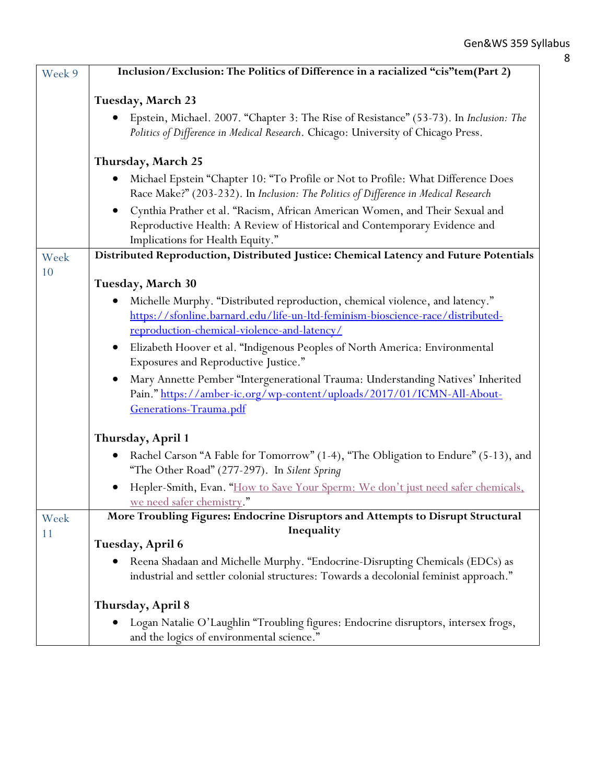| Week 9 | Inclusion/Exclusion: The Politics of Difference in a racialized "cis"tem(Part 2)                                                                                                              |
|--------|-----------------------------------------------------------------------------------------------------------------------------------------------------------------------------------------------|
|        | <b>Tuesday, March 23</b>                                                                                                                                                                      |
|        | Epstein, Michael. 2007. "Chapter 3: The Rise of Resistance" (53-73). In Inclusion: The<br>Politics of Difference in Medical Research. Chicago: University of Chicago Press.                   |
|        | Thursday, March 25                                                                                                                                                                            |
|        | Michael Epstein "Chapter 10: "To Profile or Not to Profile: What Difference Does<br>Race Make?" (203-232). In Inclusion: The Politics of Difference in Medical Research                       |
|        | Cynthia Prather et al. "Racism, African American Women, and Their Sexual and<br>Reproductive Health: A Review of Historical and Contemporary Evidence and<br>Implications for Health Equity." |
| Week   | Distributed Reproduction, Distributed Justice: Chemical Latency and Future Potentials                                                                                                         |
| 10     | Tuesday, March 30                                                                                                                                                                             |
|        | Michelle Murphy. "Distributed reproduction, chemical violence, and latency."                                                                                                                  |
|        | https://sfonline.barnard.edu/life-un-ltd-feminism-bioscience-race/distributed-                                                                                                                |
|        | reproduction-chemical-violence-and-latency/                                                                                                                                                   |
|        | Elizabeth Hoover et al. "Indigenous Peoples of North America: Environmental<br>$\bullet$                                                                                                      |
|        | Exposures and Reproductive Justice."                                                                                                                                                          |
|        | Mary Annette Pember "Intergenerational Trauma: Understanding Natives' Inherited<br>Pain." https://amber-ic.org/wp-content/uploads/2017/01/ICMN-All-About-<br>Generations-Trauma.pdf           |
|        | Thursday, April 1                                                                                                                                                                             |
|        | Rachel Carson "A Fable for Tomorrow" (1-4), "The Obligation to Endure" (5-13), and<br>"The Other Road" (277-297). In Silent Spring                                                            |
|        | Hepler-Smith, Evan. "How to Save Your Sperm: We don't just need safer chemicals,<br>we need safer chemistry."                                                                                 |
| Week   | More Troubling Figures: Endocrine Disruptors and Attempts to Disrupt Structural                                                                                                               |
| 11     | Inequality                                                                                                                                                                                    |
|        | Tuesday, April 6                                                                                                                                                                              |
|        | Reena Shadaan and Michelle Murphy. "Endocrine-Disrupting Chemicals (EDCs) as<br>industrial and settler colonial structures: Towards a decolonial feminist approach."                          |
|        | Thursday, April 8                                                                                                                                                                             |
|        | Logan Natalie O'Laughlin "Troubling figures: Endocrine disruptors, intersex frogs,<br>and the logics of environmental science."                                                               |